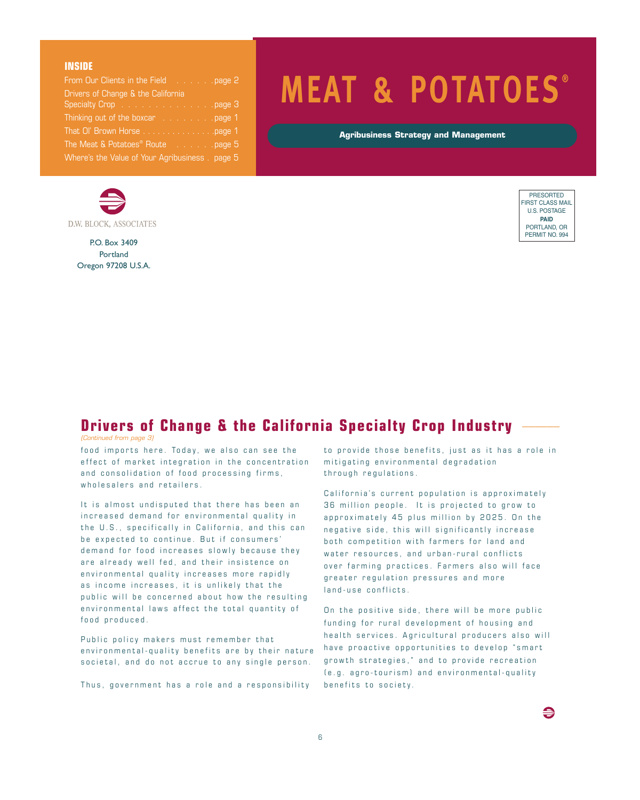#### **INSIDE**

| From Our Clients in the Field page 2                                     |
|--------------------------------------------------------------------------|
| Drivers of Change & the California                                       |
| Specialty Crop page 3                                                    |
| Thinking out of the boxcar page 1                                        |
| That OI' Brown Horse page 1                                              |
| The Meat $\&$ Potatoes <sup>®</sup> Route $\quad \ldots \ldots$ . page 5 |
| Where's the Value of Your Agribusiness. page 5                           |



P.O. Box 3409 Portland Oregon 97208 U.S.A.

# **MEAT & POTATOES ®**

**Agribusiness Strategy and Management**



€

#### **Drivers of Change & the California Specialty Crop Industry** \_\_\_\_\_\_

*(Continued from page 3)*

food imports here. Today, we also can see the effect of market integration in the concentration and consolidation of food processing firms, wholesalers and retailers.

It is almost undisputed that there has been an increased demand for environmental quality in the U.S., specifically in California, and this can be expected to continue. But if consumers' demand for food increases slowly because they are already well fed, and their insistence on environmental quality increases more rapidly as income increases, it is unlikely that the public will be concerned about how the resulting environmental laws affect the total quantity of food produced.

Public policy makers must remember that environmental-quality benefits are by their nature societal, and do not accrue to any single person.

Thus, government has a role and a responsibility

to provide those benefits, just as it has a role in mitigating environmental degradation through regulations.

California's current population is approximately 36 million people. It is projected to grow to approximately 45 plus million by 2025. On the negative side, this will significantly increase both competition with farmers for land and water resources, and urban-rural conflicts over farming practices. Farmers also will face greater regulation pressures and more land-use conflicts.

On the positive side, there will be more public funding for rural development of housing and health services. Agricultural producers also will have proactive opportunities to develop "smart growth strategies," and to provide recreation (e.g. agro-tourism) and environmental-quality benefits to society.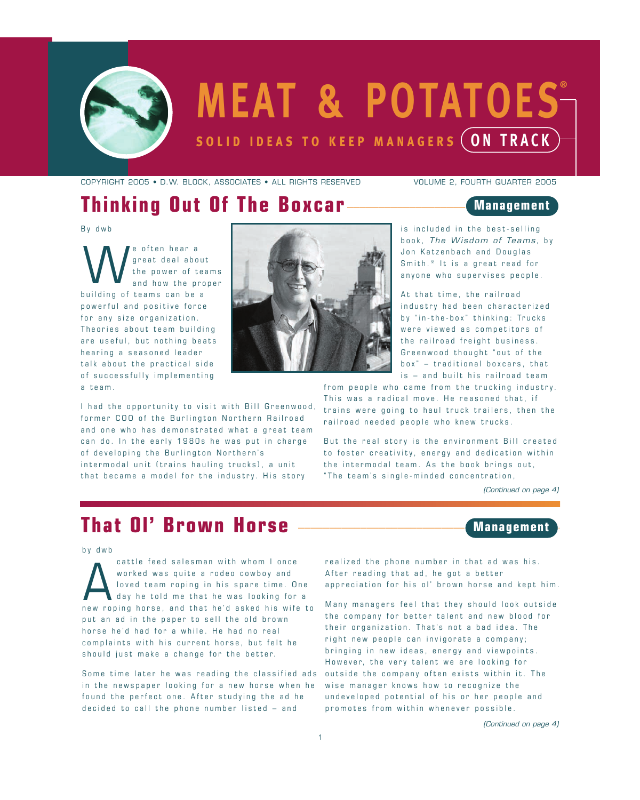

# **MEAT & POTATOES solid ideas to keep managers ON TRACK ®**

*COPYRIGHT 2005 • D.W. BLOCK, ASSOCIATES • ALL RIGHTS RESERVED VOLUME 2, FOURTH QUARTER 2005*

#### **Thinking Out Of The Boxcar**

#### **Management**

By dwb

e often hear a great deal about the power of teams and how the proper building of teams can be a powerful and positive force for any size organization. Theories about team building are useful, but nothing beats hearing a seasoned leader talk about the practical side of successfully implementing a team. W



is included in the best-selling book, *The Wisdom <sup>o</sup> f Teams* , by Jon Katzenbach and Douglas Smith.\* It is a great read for anyone who supervises people.

At that time, the railroad industry had been characterized by "in-the-box" thinking: Trucks were viewed as competitors of the railroad freight business. Greenwood thought "out of the box " – traditional boxcars, that is – and built his railroad team

I had the opportunity to visit with Bill Greenwood, former COO of the Burlington Northern Railroad and one who has demonstrated what a great team can do. In the early 1980s he was put in charge of developing the Burlington Northern's intermodal unit (trains hauling trucks), a unit that became a model for the industry. His story

from people who came from the trucking industry. This was a radical move. He reasoned that, if trains were going to haul truck trailers, then the railroad needed people who knew trucks.

But the real story is the environment Bill created to foster creativity, energy and dedication within the intermodal team. As the book brings out, "The team's single-minded concentration,

*(Continued on page 4)*

**Management**

## **That Ol' Brown Horse**

by dwb

cattle feed salesman with whom I once worked was quite a rodeo cowboy and loved team roping in his spare time. One day he told me that he was looking for a cattle feed salesman with whom I once<br>worked was quite a rodeo cowboy and<br>loved team roping in his spare time. One<br>day he told me that he was looking for a<br>new roping horse, and that he'd asked his wife to put an ad in the paper to sell the old brown horse he'd had for a while. He had no real complaints with his current horse, but felt he should just make a change for the better.

Some time later he was reading the classified ads outside the company often exists within it. The in the newspaper looking for a new horse when he found the perfect one. After studying the ad he decided to call the phone number listed – and

realized the phone number in that ad was his. After reading that ad, he got a better appreciation for his ol' brown horse and kept him.

Many managers feel that they should look outside the company for better talent and new blood for their organization. That's not a bad idea. The right new people can invigorate a company; bringing in new ideas, energy and viewpoints. However, the very talent we are looking for wise manager knows how to recognize the undeveloped potential of his or her people and promotes from within whenever possible.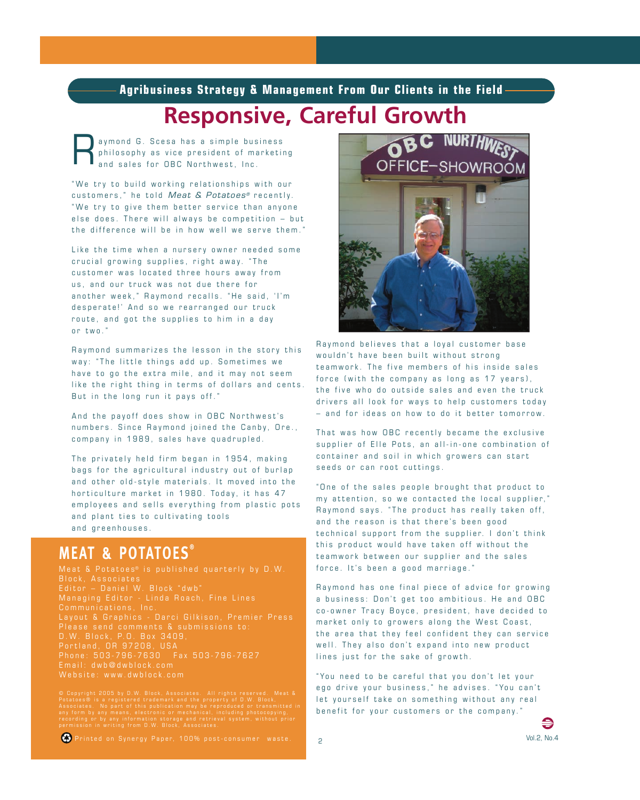**Agribusiness Strategy & Management From Our Clients in the Field**

# **Responsive, Careful Growth**

aymond G. Scesa has a simple business philosophy as vice president of marketing and sales for OBC Northwest, Inc. R

" We try to build working relationships with our customers, " he told *Meat & Potatoes®* recently. " We try to give them better service than anyone else does. There will always be competition – but the difference will be in how well we serve them. "

Like the time when a nursery owner needed some crucial growing supplies, right away. " The customer was located three hours away from us, and our truck was not due there for another week," Raymond recalls. "He said, 'I'm desperate!' And so we rearranged our truck route, and got the supplies to him in a day or two. "

Raymond summarizes the lesson in the story this way: " The little things add up. Sometimes we have to go the extra mile, and it may not seem like the right thing in terms of dollars and cents. But in the long run it pays off. "

And the payoff does show in OBC Northwest's numbers. Since Raymond joined the Canby, Ore., company in 1989, sales have quadrupled.

The privately held firm began in 1954, making bags for the agricultural industry out of burlap and other old-style materials. It moved into the horticulture market in 1980. Today, it has 47 employees and sells everything from plastic pots and plant ties to cultivating tools and greenhouses.

#### **MEAT & POTATOES ®**

Meat & Potatoes® is published quarterly by D.W. Communications, Inc. Layout & Graphics - Darci Gilkison, Premier Press Please send comments & submissions to: D.W. Block, P.O. Box 3409, Portland, OR 97208, USA Phone: 503-796-7630 Fax 503-796-7627 Email: dwb@dwblock.com Website: www.dwblock.com

© Copyright 2005 by D.W. Block, Associates. All rights reserved. Meat &<br>Potatoes® is a registered trademark and the property of D.W. Block,<br>Associates. No part of this publication may be reproduced or transmitted in<br>any fo



Raymond believes that a loyal customer base wouldn't have been built without strong teamwork. The five members of his inside sales force (with the company as long as 17 years), the five who do outside sales and even the truck drivers all look for ways to help customers today – and for ideas on how to do it better tomorrow.

That was how OBC recently became the exclusive supplier of Elle Pots, an all-in-one combination of container and soil in which growers can start seeds or can root cuttings.

" One of the sales people brought that product to my attention, so we contacted the local supplier, " Raymond says. " The product has really taken off, and the reason is that there's been good technical support from the supplier. I don't think this product would have taken off without the teamwork between our supplier and the sales force. It's been a good marriage."

Raymond has one final piece of advice for growing a business: Don't get too ambitious. He and OBC co-owner Tracy Boyce, president, have decided to market only to growers along the West Coast, the area that they feel confident they can service well. They also don't expand into new product lines just for the sake of growth.

"You need to be careful that you don't let your ego drive your business," he advises. "You can't let yourself take on something without any real benefit for your customers or the company. "

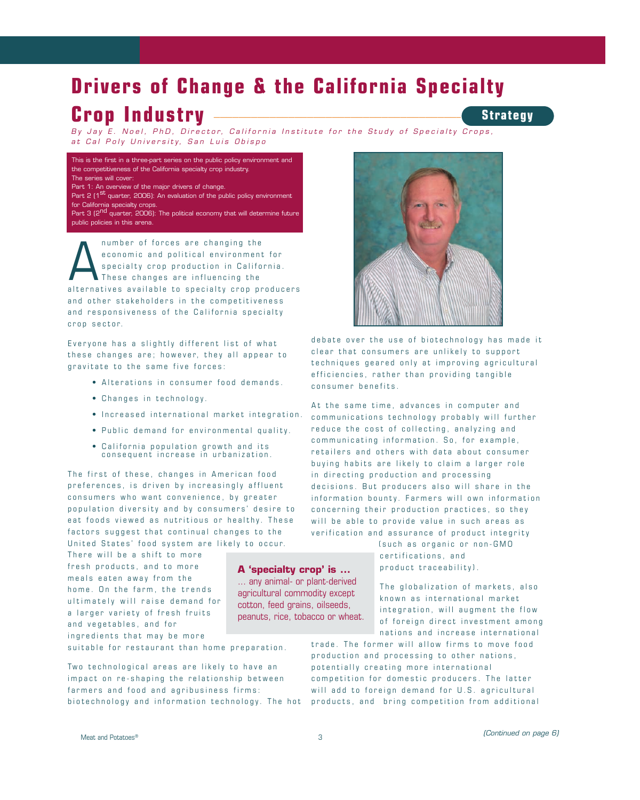# **Drivers of Change & the California Specialty Crop Industry** \_\_\_\_\_\_\_\_\_\_\_\_\_\_\_\_\_\_\_\_\_\_\_\_\_\_\_\_\_\_\_\_\_\_\_\_\_\_\_\_\_\_\_\_\_\_\_\_\_\_\_\_\_\_

By Jay E. Noel, PhD, Director, California Institute for the Study of Specialty Crops, *at Cal Poly University, San Luis Obispo*

*This is the first in a three-part series on the public policy environment and the competitiveness of the California specialty crop industry. The series will cover: Part 1: An overview of the major drivers of change.*

*Part 2 (1st quarter, 2006): An evaluation of the public policy environment for California specialty crops.*

*Part 3 (2nd quarter, 2006): The political economy that will determine future public policies in this arena.*

number of forces are changing the economic and political environment for specialty crop production in California. These changes are influencing the Alternatives and political environment for<br>
specialty crop production in California.<br>
These changes are influencing the<br>
alternatives available to specialty crop producers and other stakeholders in the competitiveness and responsiveness of the California specialty crop sector.

Everyone has a slightly different list of what these changes are; however, they all appear to gravitate to the same five forces:

- Alterations in consumer food demands.
- Changes in technology.
- Increased international market integration.
- Public demand for environmental quality.
- California population growth and its consequent increase in urbanization.

The first of these, changes in American food preferences, is driven by increasingly affluent consumers who want convenience, by greater population diversity and by consumers' desire to eat foods viewed as nutritious or healthy. These factors suggest that continual changes to the United States' food system are likely to occur.

There will be a shift to more fresh products, and to more meals eaten away from the home. On the farm, the trends ultimately will raise demand for a larger variety of fresh fruits and vegetables, and for ingredients that may be more

suitable for restaurant than home preparation.

Two technological areas are likely to have an impact on re-shaping the relationship between farmers and food and agribusiness firms: biotechnology and information technology. The hot



debate over the use of biotechnology has made it clear that consumers are unlikely to support techniques geared only at improving agricultural efficiencies, rather than providing tangible consumer benefits.

At the same time, advances in computer and communications technology probably will further reduce the cost of collecting, analyzing and communicating information. So, for example, retailers and others with data about consumer buying habits are likely to claim a larger role in directing production and processing decisions. But producers also will share in the information bounty. Farmers will own information concerning their production practices, so they will be able to provide value in such areas as verification and assurance of product integrity

> (such as organic or non-GMO certifications, and product traceability).

The globalization of markets, also known as international market integration, will augment the flow of foreign direct investment among nations and increase international

trade. The former will allow firms to move food production and processing to other nations, potentially creating more international competition for domestic producers. The latter will add to foreign demand for U.S. agricultural products, and bring competition from additional

#### **Strategy**

**A 'specialty crop' is ...** ... any animal- or plant-derived agricultural commodity except cotton, feed grains, oilseeds, peanuts, rice, tobacco or wheat.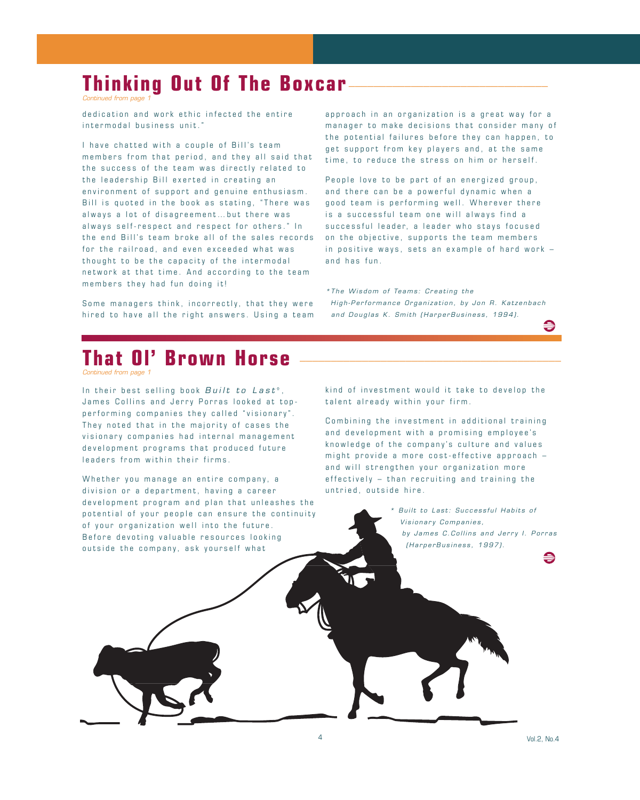### **Thinking Out Of The Boxcar**

*Continued from page 1*

dedication and work ethic infected the entire intermodal business unit. "

I have chatted with a couple of Bill's team members from that period, and they all said that the success of the team was directly related to the leadership Bill exerted in creating an environment of support and genuine enthusiasm. Bill is quoted in the book as stating, " There was always a lot of disagreement … but there was always self-respect and respect for others. " In the end Bill's team broke all of the sales records for the railroad, and even exceeded what was thought to be the capacity of the intermodal network at that time. And according to the team members they had fun doing it!

Some managers think, incorrectly, that they were hired to have all the right answers. Using a team approach in an organization is a great way for a manager to make decisions that consider many of the potential failures before they can happen, to get support from key players and, at the same time, to reduce the stress on him or herself.

People love to be part of an energized group, and there can be a powerful dynamic when a good team is performing well. Wherever there is a successful team one will always find a successful leader, a leader who stays focused on the objective, supports the team members in positive ways, sets an example of hard work – and has fun.

*\*The Wisdom <sup>o</sup> f Teams : Crea ting the High-Performance Organization, by Jon R. Katzenbach and Douglas K. Smith (HarperBusiness, 1994).*

# **That Ol' Brown Horse**

*Continued from page 1*

In their best selling book *Built to Last*<sup>\*</sup>, James Collins and Jerry Porras looked at topperforming companies they called "visionary" . They noted that in the majority of cases the visionary companies had internal management development programs that produced future leaders from within their firms.

Whether you manage an entire company, a division or a department, having a career development program and plan that unleashes the potential of your people can ensure the continuity of your organization well into the future. Before devoting valuable resources looking outside the company, ask yourself what

kind of investment would it take to develop the talent already within your firm.

Combining the investment in additional training and development with a promising employee's knowledge of the company's culture and values might provide a more cost-effective approach – and will strengthen your organization more effectively – than recruiting and training the untried, outside hire.

> *\* Built to Last: Successful Habits of Visionary Companies, by James C.Collins and Jerry I. Porras (HarperBusiness, 1997).* €